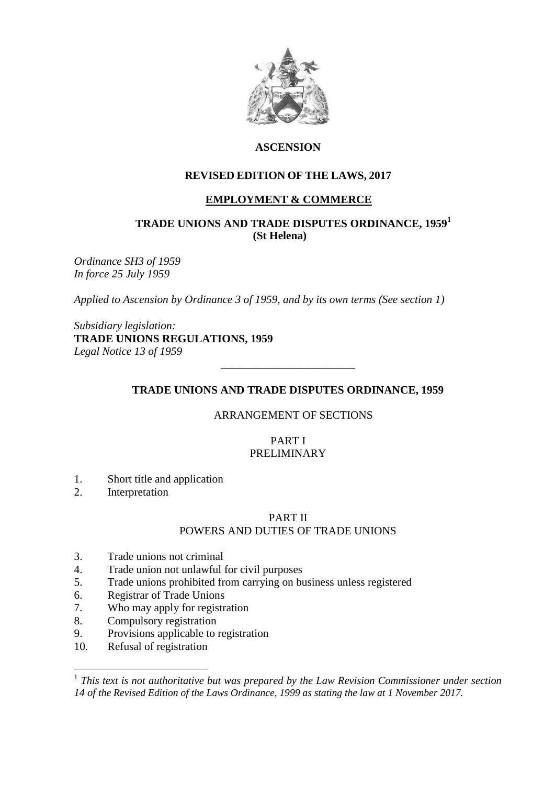

# **ASCENSION**

# **REVISED EDITION OF THE LAWS, 2017**

# **EMPLOYMENT & COMMERCE**

## **TRADE UNIONS AND TRADE DISPUTES ORDINANCE, 1959<sup>1</sup> (St Helena)**

*Ordinance SH3 of 1959 In force 25 July 1959*

*Applied to Ascension by Ordinance 3 of 1959, and by its own terms (See section 1)*

*Subsidiary legislation:* **TRADE UNIONS REGULATIONS, 1959**  *Legal Notice 13 of 1959*

## **TRADE UNIONS AND TRADE DISPUTES ORDINANCE, 1959**

\_\_\_\_\_\_\_\_\_\_\_\_\_\_\_\_\_\_\_\_\_\_\_\_

### ARRANGEMENT OF SECTIONS

## PART I PRELIMINARY

- 1. Short title and application
- 2. Interpretation

### PART II

# POWERS AND DUTIES OF TRADE UNIONS

- 3. Trade unions not criminal
- 4. Trade union not unlawful for civil purposes
- 5. Trade unions prohibited from carrying on business unless registered
- 6. Registrar of Trade Unions
- 7. Who may apply for registration
- 8. Compulsory registration
- 9. Provisions applicable to registration
- 10. Refusal of registration

 1 *This text is not authoritative but was prepared by the Law Revision Commissioner under section 14 of the Revised Edition of the Laws Ordinance, 1999 as stating the law at 1 November 2017.*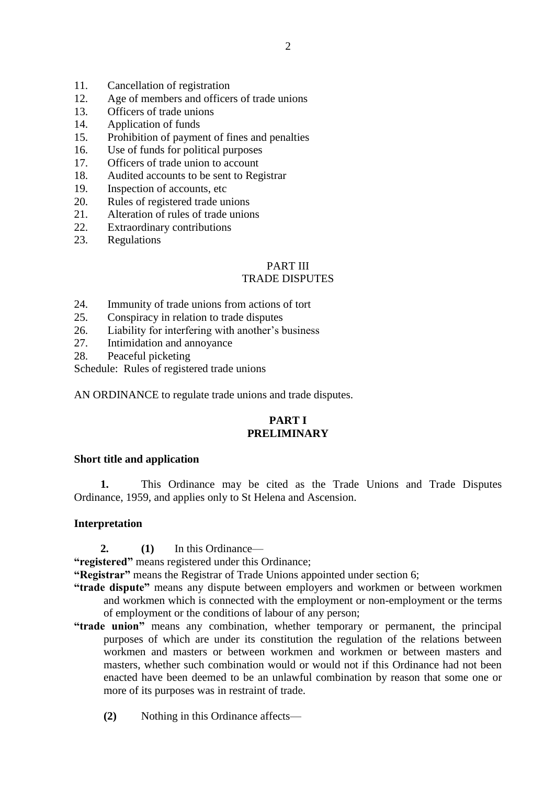- 11. Cancellation of registration
- 12. Age of members and officers of trade unions
- 13. Officers of trade unions
- 14. Application of funds
- 15. Prohibition of payment of fines and penalties
- 16. Use of funds for political purposes
- 17. Officers of trade union to account
- 18. Audited accounts to be sent to Registrar
- 19. Inspection of accounts, etc
- 20. Rules of registered trade unions
- 21. Alteration of rules of trade unions
- 22. Extraordinary contributions
- 23. Regulations

# PART III

## TRADE DISPUTES

- 24. Immunity of trade unions from actions of tort
- 25. Conspiracy in relation to trade disputes
- 26. Liability for interfering with another's business
- 27. Intimidation and annoyance
- 28. Peaceful picketing

Schedule: Rules of registered trade unions

AN ORDINANCE to regulate trade unions and trade disputes.

# **PART I PRELIMINARY**

### **Short title and application**

**1.** This Ordinance may be cited as the Trade Unions and Trade Disputes Ordinance, 1959, and applies only to St Helena and Ascension.

### **Interpretation**

**2. (1)** In this Ordinance—

**"registered"** means registered under this Ordinance;

**"Registrar"** means the Registrar of Trade Unions appointed under section 6;

- **"trade dispute"** means any dispute between employers and workmen or between workmen and workmen which is connected with the employment or non-employment or the terms of employment or the conditions of labour of any person;
- **"trade union"** means any combination, whether temporary or permanent, the principal purposes of which are under its constitution the regulation of the relations between workmen and masters or between workmen and workmen or between masters and masters, whether such combination would or would not if this Ordinance had not been enacted have been deemed to be an unlawful combination by reason that some one or more of its purposes was in restraint of trade.
	- **(2)** Nothing in this Ordinance affects—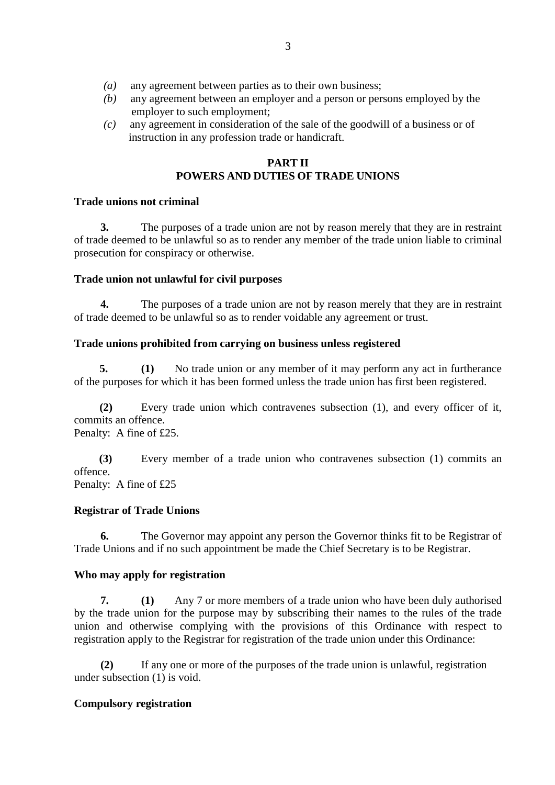- *(a)* any agreement between parties as to their own business;
- *(b)* any agreement between an employer and a person or persons employed by the employer to such employment;
- *(c)* any agreement in consideration of the sale of the goodwill of a business or of instruction in any profession trade or handicraft.

## **PART II POWERS AND DUTIES OF TRADE UNIONS**

### **Trade unions not criminal**

**3.** The purposes of a trade union are not by reason merely that they are in restraint of trade deemed to be unlawful so as to render any member of the trade union liable to criminal prosecution for conspiracy or otherwise.

## **Trade union not unlawful for civil purposes**

**4.** The purposes of a trade union are not by reason merely that they are in restraint of trade deemed to be unlawful so as to render voidable any agreement or trust.

## **Trade unions prohibited from carrying on business unless registered**

**5. (1)** No trade union or any member of it may perform any act in furtherance of the purposes for which it has been formed unless the trade union has first been registered.

**(2)** Every trade union which contravenes subsection (1), and every officer of it, commits an offence. Penalty: A fine of £25.

 **(3)** Every member of a trade union who contravenes subsection (1) commits an offence. Penalty: A fine of £25

### **Registrar of Trade Unions**

**6.** The Governor may appoint any person the Governor thinks fit to be Registrar of Trade Unions and if no such appointment be made the Chief Secretary is to be Registrar.

# **Who may apply for registration**

**7. (1)** Any 7 or more members of a trade union who have been duly authorised by the trade union for the purpose may by subscribing their names to the rules of the trade union and otherwise complying with the provisions of this Ordinance with respect to registration apply to the Registrar for registration of the trade union under this Ordinance:

**(2)** If any one or more of the purposes of the trade union is unlawful, registration under subsection (1) is void.

# **Compulsory registration**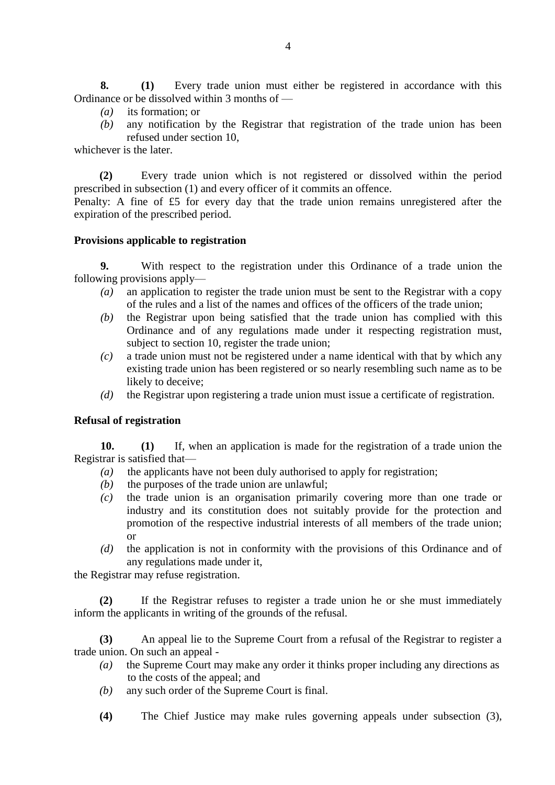**8. (1)** Every trade union must either be registered in accordance with this Ordinance or be dissolved within 3 months of —

- *(a)* its formation; or
- *(b)* any notification by the Registrar that registration of the trade union has been refused under section 10,

whichever is the later.

**(2)** Every trade union which is not registered or dissolved within the period prescribed in subsection (1) and every officer of it commits an offence.

Penalty: A fine of £5 for every day that the trade union remains unregistered after the expiration of the prescribed period.

### **Provisions applicable to registration**

**9.** With respect to the registration under this Ordinance of a trade union the following provisions apply—

- *(a)* an application to register the trade union must be sent to the Registrar with a copy of the rules and a list of the names and offices of the officers of the trade union;
- *(b)* the Registrar upon being satisfied that the trade union has complied with this Ordinance and of any regulations made under it respecting registration must, subject to section 10, register the trade union;
- *(c)* a trade union must not be registered under a name identical with that by which any existing trade union has been registered or so nearly resembling such name as to be likely to deceive;
- *(d)* the Registrar upon registering a trade union must issue a certificate of registration.

### **Refusal of registration**

**10. (1)** If, when an application is made for the registration of a trade union the Registrar is satisfied that—

- *(a)* the applicants have not been duly authorised to apply for registration;
- *(b)* the purposes of the trade union are unlawful;
- *(c)* the trade union is an organisation primarily covering more than one trade or industry and its constitution does not suitably provide for the protection and promotion of the respective industrial interests of all members of the trade union; or
- *(d)* the application is not in conformity with the provisions of this Ordinance and of any regulations made under it,

the Registrar may refuse registration.

**(2)** If the Registrar refuses to register a trade union he or she must immediately inform the applicants in writing of the grounds of the refusal.

**(3)** An appeal lie to the Supreme Court from a refusal of the Registrar to register a trade union. On such an appeal -

- *(a)* the Supreme Court may make any order it thinks proper including any directions as to the costs of the appeal; and
- *(b)* any such order of the Supreme Court is final.
- **(4)** The Chief Justice may make rules governing appeals under subsection (3),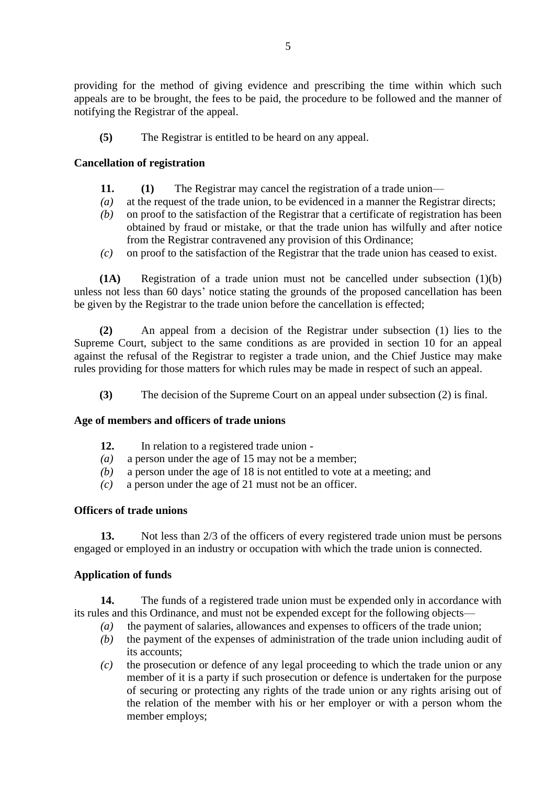providing for the method of giving evidence and prescribing the time within which such appeals are to be brought, the fees to be paid, the procedure to be followed and the manner of notifying the Registrar of the appeal.

**(5)** The Registrar is entitled to be heard on any appeal.

### **Cancellation of registration**

- **11. (1)** The Registrar may cancel the registration of a trade union—
- *(a)* at the request of the trade union, to be evidenced in a manner the Registrar directs;
- *(b)* on proof to the satisfaction of the Registrar that a certificate of registration has been obtained by fraud or mistake, or that the trade union has wilfully and after notice from the Registrar contravened any provision of this Ordinance;
- *(c)* on proof to the satisfaction of the Registrar that the trade union has ceased to exist.

**(1A)** Registration of a trade union must not be cancelled under subsection (1)(b) unless not less than 60 days' notice stating the grounds of the proposed cancellation has been be given by the Registrar to the trade union before the cancellation is effected;

**(2)** An appeal from a decision of the Registrar under subsection (1) lies to the Supreme Court, subject to the same conditions as are provided in section 10 for an appeal against the refusal of the Registrar to register a trade union, and the Chief Justice may make rules providing for those matters for which rules may be made in respect of such an appeal.

**(3)** The decision of the Supreme Court on an appeal under subsection (2) is final.

#### **Age of members and officers of trade unions**

- **12.** In relation to a registered trade union -
- *(a)* a person under the age of 15 may not be a member;
- *(b)* a person under the age of 18 is not entitled to vote at a meeting; and
- *(c)* a person under the age of 21 must not be an officer.

#### **Officers of trade unions**

**13.** Not less than 2/3 of the officers of every registered trade union must be persons engaged or employed in an industry or occupation with which the trade union is connected.

#### **Application of funds**

**14.** The funds of a registered trade union must be expended only in accordance with its rules and this Ordinance, and must not be expended except for the following objects—

- *(a)* the payment of salaries, allowances and expenses to officers of the trade union;
- *(b)* the payment of the expenses of administration of the trade union including audit of its accounts;
- *(c)* the prosecution or defence of any legal proceeding to which the trade union or any member of it is a party if such prosecution or defence is undertaken for the purpose of securing or protecting any rights of the trade union or any rights arising out of the relation of the member with his or her employer or with a person whom the member employs;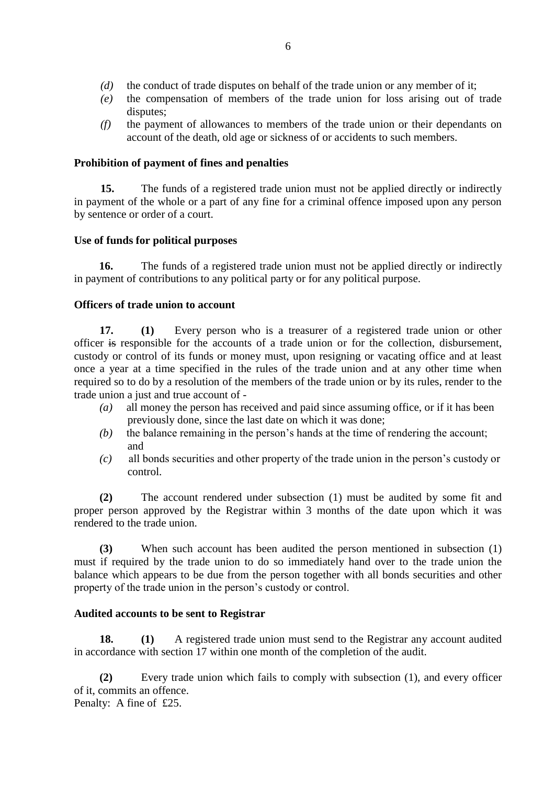- *(d)* the conduct of trade disputes on behalf of the trade union or any member of it;
- *(e)* the compensation of members of the trade union for loss arising out of trade disputes;
- *(f)* the payment of allowances to members of the trade union or their dependants on account of the death, old age or sickness of or accidents to such members.

### **Prohibition of payment of fines and penalties**

**15.** The funds of a registered trade union must not be applied directly or indirectly in payment of the whole or a part of any fine for a criminal offence imposed upon any person by sentence or order of a court.

## **Use of funds for political purposes**

**16.** The funds of a registered trade union must not be applied directly or indirectly in payment of contributions to any political party or for any political purpose.

## **Officers of trade union to account**

**17. (1)** Every person who is a treasurer of a registered trade union or other officer is responsible for the accounts of a trade union or for the collection, disbursement, custody or control of its funds or money must, upon resigning or vacating office and at least once a year at a time specified in the rules of the trade union and at any other time when required so to do by a resolution of the members of the trade union or by its rules, render to the trade union a just and true account of -

- *(a)* all money the person has received and paid since assuming office, or if it has been previously done, since the last date on which it was done;
- *(b)* the balance remaining in the person's hands at the time of rendering the account; and
- *(c)* all bonds securities and other property of the trade union in the person's custody or control.

**(2)** The account rendered under subsection (1) must be audited by some fit and proper person approved by the Registrar within 3 months of the date upon which it was rendered to the trade union.

**(3)** When such account has been audited the person mentioned in subsection (1) must if required by the trade union to do so immediately hand over to the trade union the balance which appears to be due from the person together with all bonds securities and other property of the trade union in the person's custody or control.

### **Audited accounts to be sent to Registrar**

**18. (1)** A registered trade union must send to the Registrar any account audited in accordance with section 17 within one month of the completion of the audit.

**(2)** Every trade union which fails to comply with subsection (1), and every officer of it, commits an offence. Penalty: A fine of £25.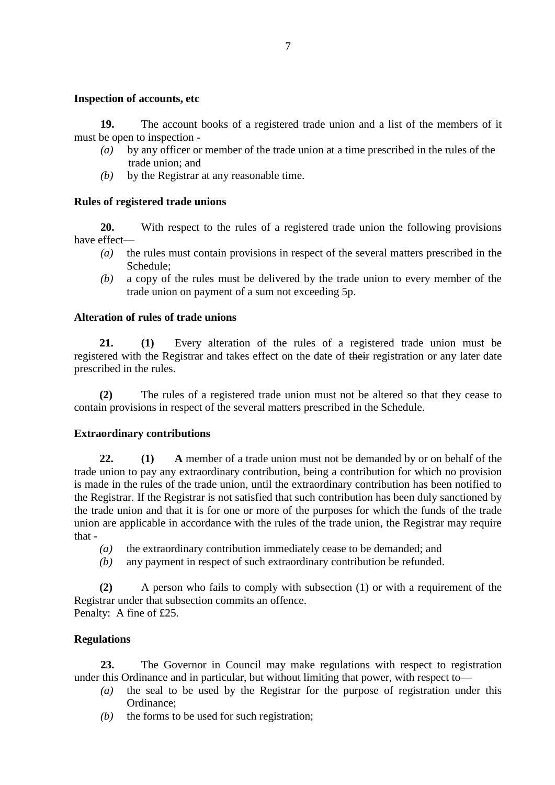### **Inspection of accounts, etc**

**19.** The account books of a registered trade union and a list of the members of it must be open to inspection -

- *(a)* by any officer or member of the trade union at a time prescribed in the rules of the trade union; and
- *(b)* by the Registrar at any reasonable time.

# **Rules of registered trade unions**

**20.** With respect to the rules of a registered trade union the following provisions have effect—

- *(a)* the rules must contain provisions in respect of the several matters prescribed in the Schedule;
- *(b)* a copy of the rules must be delivered by the trade union to every member of the trade union on payment of a sum not exceeding 5p.

# **Alteration of rules of trade unions**

**21. (1)** Every alteration of the rules of a registered trade union must be registered with the Registrar and takes effect on the date of their registration or any later date prescribed in the rules.

**(2)** The rules of a registered trade union must not be altered so that they cease to contain provisions in respect of the several matters prescribed in the Schedule.

# **Extraordinary contributions**

**22. (1) A** member of a trade union must not be demanded by or on behalf of the trade union to pay any extraordinary contribution, being a contribution for which no provision is made in the rules of the trade union, until the extraordinary contribution has been notified to the Registrar. If the Registrar is not satisfied that such contribution has been duly sanctioned by the trade union and that it is for one or more of the purposes for which the funds of the trade union are applicable in accordance with the rules of the trade union, the Registrar may require that -

- *(a)* the extraordinary contribution immediately cease to be demanded; and
- *(b)* any payment in respect of such extraordinary contribution be refunded.

**(2)** A person who fails to comply with subsection (1) or with a requirement of the Registrar under that subsection commits an offence. Penalty: A fine of £25.

# **Regulations**

**23.** The Governor in Council may make regulations with respect to registration under this Ordinance and in particular, but without limiting that power, with respect to—

- *(a)* the seal to be used by the Registrar for the purpose of registration under this Ordinance;
- *(b)* the forms to be used for such registration;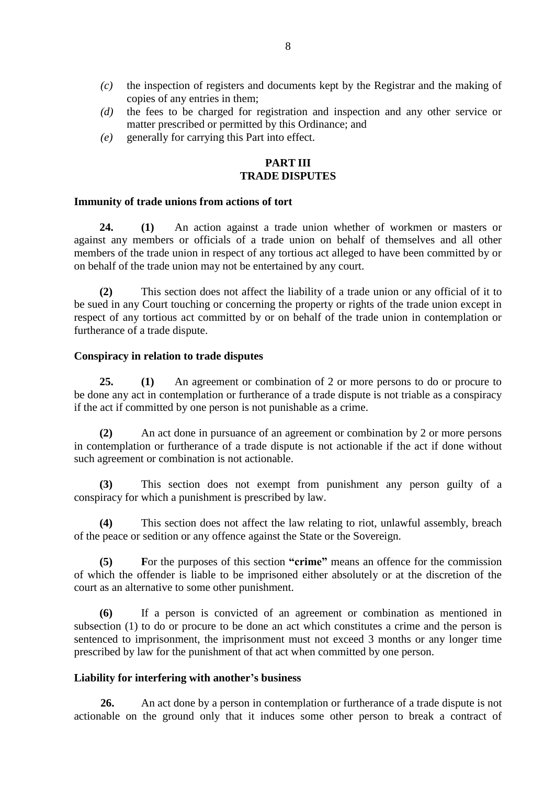- *(c)* the inspection of registers and documents kept by the Registrar and the making of copies of any entries in them;
- *(d)* the fees to be charged for registration and inspection and any other service or matter prescribed or permitted by this Ordinance; and
- *(e)* generally for carrying this Part into effect.

#### **PART III TRADE DISPUTES**

#### **Immunity of trade unions from actions of tort**

**24. (1)** An action against a trade union whether of workmen or masters or against any members or officials of a trade union on behalf of themselves and all other members of the trade union in respect of any tortious act alleged to have been committed by or on behalf of the trade union may not be entertained by any court.

**(2)** This section does not affect the liability of a trade union or any official of it to be sued in any Court touching or concerning the property or rights of the trade union except in respect of any tortious act committed by or on behalf of the trade union in contemplation or furtherance of a trade dispute.

#### **Conspiracy in relation to trade disputes**

**25. (1)** An agreement or combination of 2 or more persons to do or procure to be done any act in contemplation or furtherance of a trade dispute is not triable as a conspiracy if the act if committed by one person is not punishable as a crime.

**(2)** An act done in pursuance of an agreement or combination by 2 or more persons in contemplation or furtherance of a trade dispute is not actionable if the act if done without such agreement or combination is not actionable.

**(3)** This section does not exempt from punishment any person guilty of a conspiracy for which a punishment is prescribed by law.

**(4)** This section does not affect the law relating to riot, unlawful assembly, breach of the peace or sedition or any offence against the State or the Sovereign.

**(5) F**or the purposes of this section **"crime"** means an offence for the commission of which the offender is liable to be imprisoned either absolutely or at the discretion of the court as an alternative to some other punishment.

**(6)** If a person is convicted of an agreement or combination as mentioned in subsection (1) to do or procure to be done an act which constitutes a crime and the person is sentenced to imprisonment, the imprisonment must not exceed 3 months or any longer time prescribed by law for the punishment of that act when committed by one person.

### **Liability for interfering with another's business**

**26.** An act done by a person in contemplation or furtherance of a trade dispute is not actionable on the ground only that it induces some other person to break a contract of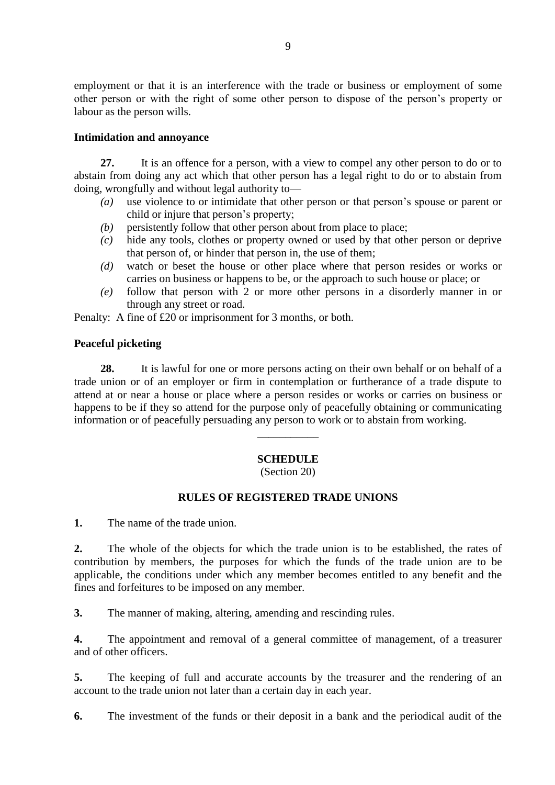employment or that it is an interference with the trade or business or employment of some other person or with the right of some other person to dispose of the person's property or labour as the person wills.

#### **Intimidation and annoyance**

**27.** It is an offence for a person, with a view to compel any other person to do or to abstain from doing any act which that other person has a legal right to do or to abstain from doing, wrongfully and without legal authority to—

- *(a)* use violence to or intimidate that other person or that person's spouse or parent or child or injure that person's property;
- *(b)* persistently follow that other person about from place to place;
- *(c)* hide any tools, clothes or property owned or used by that other person or deprive that person of, or hinder that person in, the use of them;
- *(d)* watch or beset the house or other place where that person resides or works or carries on business or happens to be, or the approach to such house or place; or
- *(e)* follow that person with 2 or more other persons in a disorderly manner in or through any street or road.

Penalty: A fine of £20 or imprisonment for 3 months, or both.

### **Peaceful picketing**

**28.** It is lawful for one or more persons acting on their own behalf or on behalf of a trade union or of an employer or firm in contemplation or furtherance of a trade dispute to attend at or near a house or place where a person resides or works or carries on business or happens to be if they so attend for the purpose only of peacefully obtaining or communicating information or of peacefully persuading any person to work or to abstain from working.

### **SCHEDULE**

 $\overline{\phantom{a}}$ 

(Section 20)

### **RULES OF REGISTERED TRADE UNIONS**

**1.** The name of the trade union.

**2.** The whole of the objects for which the trade union is to be established, the rates of contribution by members, the purposes for which the funds of the trade union are to be applicable, the conditions under which any member becomes entitled to any benefit and the fines and forfeitures to be imposed on any member.

**3.** The manner of making, altering, amending and rescinding rules.

**4.** The appointment and removal of a general committee of management, of a treasurer and of other officers.

**5.** The keeping of full and accurate accounts by the treasurer and the rendering of an account to the trade union not later than a certain day in each year.

**6.** The investment of the funds or their deposit in a bank and the periodical audit of the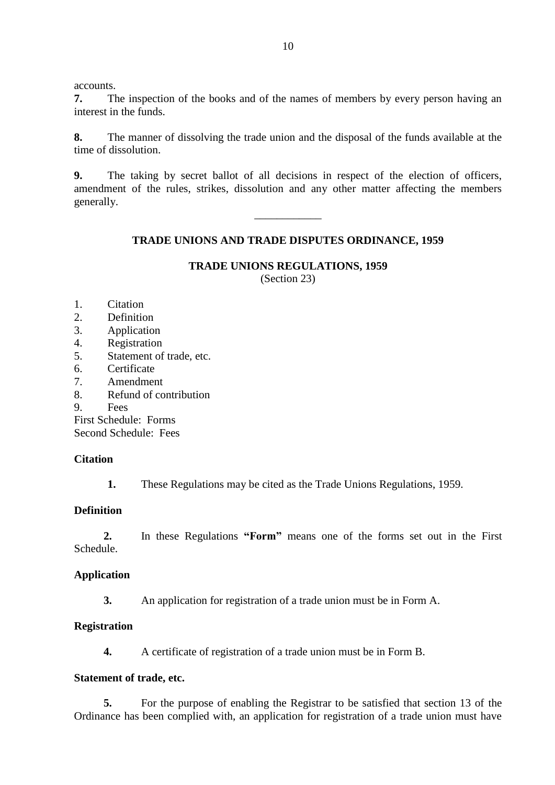accounts.

**7.** The inspection of the books and of the names of members by every person having an interest in the funds.

**8.** The manner of dissolving the trade union and the disposal of the funds available at the time of dissolution.

**9.** The taking by secret ballot of all decisions in respect of the election of officers, amendment of the rules, strikes, dissolution and any other matter affecting the members generally.

\_\_\_\_\_\_\_\_\_\_\_\_

## **TRADE UNIONS AND TRADE DISPUTES ORDINANCE, 1959**

#### **TRADE UNIONS REGULATIONS, 1959** (Section 23)

- 1. Citation
- 2. Definition
- 3. Application
- 4. Registration
- 5. Statement of trade, etc.
- 6. Certificate
- 7. Amendment
- 8. Refund of contribution
- 9. Fees
- First Schedule: Forms

Second Schedule: Fees

### **Citation**

**1.** These Regulations may be cited as the Trade Unions Regulations, 1959.

### **Definition**

**2.** In these Regulations **"Form"** means one of the forms set out in the First Schedule.

### **Application**

**3.** An application for registration of a trade union must be in Form A.

### **Registration**

**4.** A certificate of registration of a trade union must be in Form B.

### **Statement of trade, etc.**

**5.** For the purpose of enabling the Registrar to be satisfied that section 13 of the Ordinance has been complied with, an application for registration of a trade union must have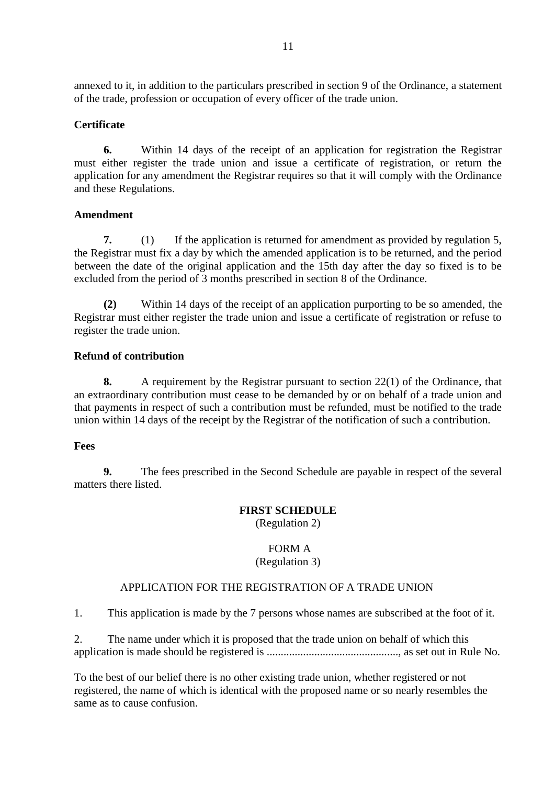annexed to it, in addition to the particulars prescribed in section 9 of the Ordinance, a statement of the trade, profession or occupation of every officer of the trade union.

### **Certificate**

**6.** Within 14 days of the receipt of an application for registration the Registrar must either register the trade union and issue a certificate of registration, or return the application for any amendment the Registrar requires so that it will comply with the Ordinance and these Regulations.

## **Amendment**

**7.** (1) If the application is returned for amendment as provided by regulation 5, the Registrar must fix a day by which the amended application is to be returned, and the period between the date of the original application and the 15th day after the day so fixed is to be excluded from the period of 3 months prescribed in section 8 of the Ordinance.

**(2)** Within 14 days of the receipt of an application purporting to be so amended, the Registrar must either register the trade union and issue a certificate of registration or refuse to register the trade union.

### **Refund of contribution**

**8.** A requirement by the Registrar pursuant to section 22(1) of the Ordinance, that an extraordinary contribution must cease to be demanded by or on behalf of a trade union and that payments in respect of such a contribution must be refunded, must be notified to the trade union within 14 days of the receipt by the Registrar of the notification of such a contribution.

### **Fees**

**9.** The fees prescribed in the Second Schedule are payable in respect of the several matters there listed.

# **FIRST SCHEDULE**

(Regulation 2)

#### FORM A (Regulation 3)

# APPLICATION FOR THE REGISTRATION OF A TRADE UNION

1. This application is made by the 7 persons whose names are subscribed at the foot of it.

2. The name under which it is proposed that the trade union on behalf of which this application is made should be registered is ..............................................., as set out in Rule No.

To the best of our belief there is no other existing trade union, whether registered or not registered, the name of which is identical with the proposed name or so nearly resembles the same as to cause confusion.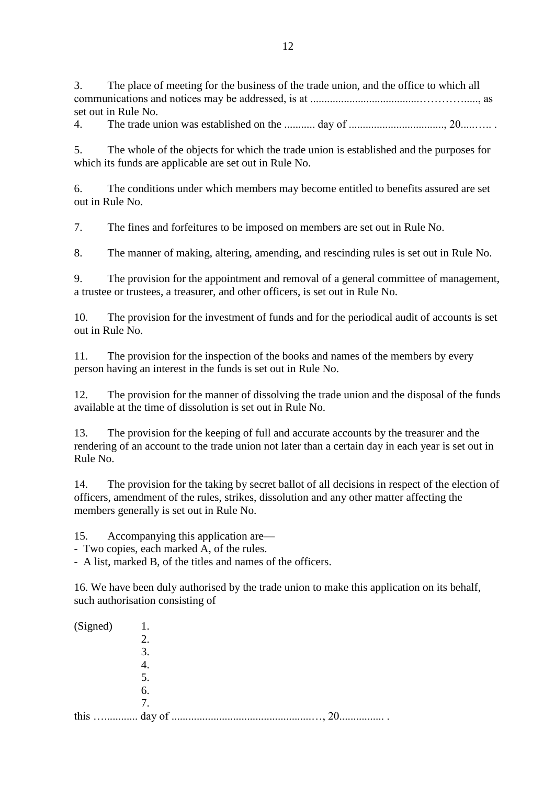3. The place of meeting for the business of the trade union, and the office to which all communications and notices may be addressed, is at .......................................…………....., as set out in Rule No.

4. The trade union was established on the ........... day of .................................., 20.....….. .

5. The whole of the objects for which the trade union is established and the purposes for which its funds are applicable are set out in Rule No.

6. The conditions under which members may become entitled to benefits assured are set out in Rule No.

7. The fines and forfeitures to be imposed on members are set out in Rule No.

8. The manner of making, altering, amending, and rescinding rules is set out in Rule No.

9. The provision for the appointment and removal of a general committee of management, a trustee or trustees, a treasurer, and other officers, is set out in Rule No.

10. The provision for the investment of funds and for the periodical audit of accounts is set out in Rule No.

11. The provision for the inspection of the books and names of the members by every person having an interest in the funds is set out in Rule No.

12. The provision for the manner of dissolving the trade union and the disposal of the funds available at the time of dissolution is set out in Rule No.

13. The provision for the keeping of full and accurate accounts by the treasurer and the rendering of an account to the trade union not later than a certain day in each year is set out in Rule No.

14. The provision for the taking by secret ballot of all decisions in respect of the election of officers, amendment of the rules, strikes, dissolution and any other matter affecting the members generally is set out in Rule No.

15. Accompanying this application are—

- Two copies, each marked A, of the rules.

- A list, marked B, of the titles and names of the officers.

16. We have been duly authorised by the trade union to make this application on its behalf, such authorisation consisting of

| (Signed) | 1. |  |   |
|----------|----|--|---|
|          | 2. |  |   |
|          | 3  |  |   |
|          |    |  |   |
|          | 5. |  |   |
|          | 6. |  |   |
|          | 7  |  |   |
| this     |    |  | . |